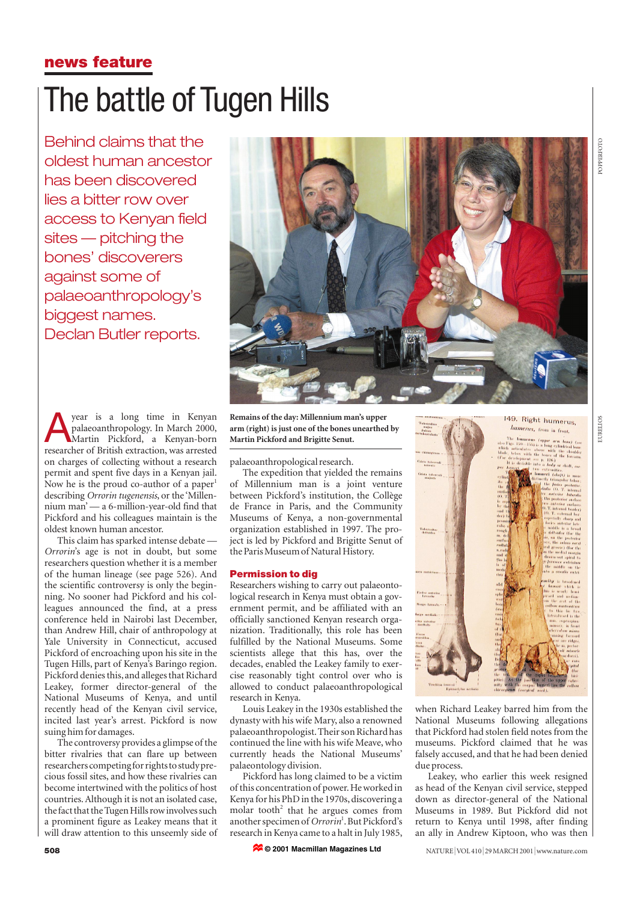## **news feature**

# The battle of Tugen Hills

Behind claims that the oldest human ancestor has been discovered lies a bitter row over access to Kenyan field sites — pitching the bones' discoverers against some of palaeoanthropology's biggest names. Declan Butler reports.



**A** year is a long time in Kenyan<br>palaeoanthropology. In March 2000,<br>Martin Pickford, a Kenyan-born palaeoanthropology. In March 2000, Martin Pickford, a Kenyan-born researcher of British extraction, was arrested on charges of collecting without a research permit and spent five days in a Kenyan jail. Now he is the proud co-author of a paper<sup>1</sup> describing *Orrorin tugenensis*, or the 'Millennium man' — a 6-million-year-old find that Pickford and his colleagues maintain is the oldest known human ancestor.

This claim has sparked intense debate — *Orrorin*'s age is not in doubt, but some researchers question whether it is a member of the human lineage (see page 526). And the scientific controversy is only the beginning. No sooner had Pickford and his colleagues announced the find, at a press conference held in Nairobi last December, than Andrew Hill, chair of anthropology at Yale University in Connecticut, accused Pickford of encroaching upon his site in the Tugen Hills, part of Kenya's Baringo region. Pickford denies this, and alleges that Richard Leakey, former director-general of the National Museums of Kenya, and until recently head of the Kenyan civil service, incited last year's arrest. Pickford is now suing him for damages.

The controversy provides a glimpse of the bitter rivalries that can flare up between researchers competing for rights to study precious fossil sites, and how these rivalries can become intertwined with the politics of host countries. Although it is not an isolated case, the fact that the Tugen Hills row involves such a prominent figure as Leakey means that it will draw attention to this unseemly side of

**Remains of the day: Millennium man's upper arm (right) is just one of the bones unearthed by Martin Pickford and Brigitte Senut.**

palaeoanthropological research.

The expedition that yielded the remains of Millennium man is a joint venture between Pickford's institution, the Collège de France in Paris, and the Community Museums of Kenya, a non-governmental organization established in 1997. The project is led by Pickford and Brigitte Senut of the Paris Museum of Natural History.

### **Permission to dig**

Researchers wishing to carry out palaeontological research in Kenya must obtain a government permit, and be affiliated with an officially sanctioned Kenyan research organization. Traditionally, this role has been fulfilled by the National Museums. Some scientists allege that this has, over the decades, enabled the Leakey family to exercise reasonably tight control over who is allowed to conduct palaeoanthropological research in Kenya.

Louis Leakey in the 1930s established the dynasty with his wife Mary, also a renowned palaeoanthropologist.Their son Richard has continued the line with his wife Meave, who currently heads the National Museums' palaeontology division.

Pickford has long claimed to be a victim of this concentration of power.He worked in Kenya for his PhD in the 1970s, discovering a molar tooth<sup>2</sup> that he argues comes from another specimen of *Orrorin*<sup>1</sup> .But Pickford's research in Kenya came to a halt in July 1985,

**© 2001 Macmillan Magazines Ltd**



when Richard Leakey barred him from the National Museums following allegations that Pickford had stolen field notes from the museums. Pickford claimed that he was falsely accused, and that he had been denied due process.

Leakey, who earlier this week resigned as head of the Kenyan civil service, stepped down as director-general of the National Museums in 1989. But Pickford did not return to Kenya until 1998, after finding an ally in Andrew Kiptoon, who was then

POPPERFOTO OPPERFOTC